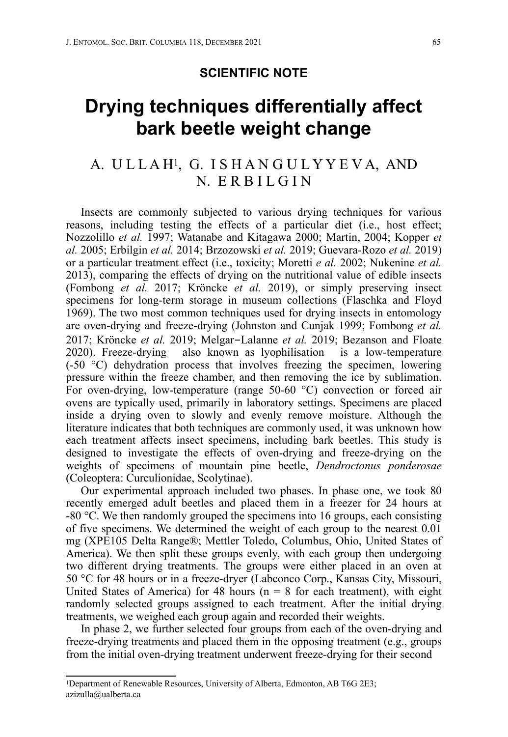## **SCIENTIFIC NOTE**

## **Drying techniques differentially affect bark beetle weight change**

## A. ULLAH<sup>1</sup>, G. ISHANGULYYEVA, AND N. E R B I L G I N

Insects are commonly subjected to various drying techniques for various reasons, including testing the effects of a particular diet (i.e., host effect; Nozzolillo *et al.* 1997; Watanabe and Kitagawa 2000; Martin, 2004; Kopper *et al.* 2005; Erbilgin *et al.* 2014; Brzozowski *et al.* 2019; Guevara-Rozo *et al.* 2019) or a particular treatment effect (i.e., toxicity; Moretti *e al.* 2002; Nukenine *et al.* 2013), comparing the effects of drying on the nutritional value of edible insects (Fombong *et al.* 2017; Kröncke *et al.* 2019), or simply preserving insect specimens for long-term storage in museum collections (Flaschka and Floyd 1969). The two most common techniques used for drying insects in entomology are oven-drying and freeze-drying (Johnston and Cunjak 1999; Fombong *et al.* 2017; Kröncke *et al.* 2019; Melgar-Lalanne *et al.* 2019; Bezanson and Floate 2020). Freeze-drying also known as lyophilisation is a low-temperature (-50 °C) dehydration process that involves freezing the specimen, lowering pressure within the freeze chamber, and then removing the ice by sublimation. For oven-drying, low-temperature (range 50-60 °C) convection or forced air ovens are typically used, primarily in laboratory settings. Specimens are placed inside a drying oven to slowly and evenly remove moisture. Although the literature indicates that both techniques are commonly used, it was unknown how each treatment affects insect specimens, including bark beetles. This study is designed to investigate the effects of oven-drying and freeze-drying on the weights of specimens of mountain pine beetle, *Dendroctonus ponderosae* (Coleoptera: Curculionidae, Scolytinae).

Our experimental approach included two phases. In phase one, we took 80 recently emerged adult beetles and placed them in a freezer for 24 hours at -80 °C. We then randomly grouped the specimens into 16 groups, each consisting of five specimens. We determined the weight of each group to the nearest 0.01 mg (XPE105 Delta Range®; Mettler Toledo, Columbus, Ohio, United States of America). We then split these groups evenly, with each group then undergoing two different drying treatments. The groups were either placed in an oven at 50 °C for 48 hours or in a freeze-dryer (Labconco Corp., Kansas City, Missouri, United States of America) for 48 hours ( $n = 8$  for each treatment), with eight randomly selected groups assigned to each treatment. After the initial drying treatments, we weighed each group again and recorded their weights.

In phase 2, we further selected four groups from each of the oven-drying and freeze-drying treatments and placed them in the opposing treatment (e.g., groups from the initial oven-drying treatment underwent freeze-drying for their second

<sup>1</sup>Department of Renewable Resources, University of Alberta, Edmonton, AB T6G 2E3; [azizulla@ualberta.ca](mailto:azizulla@ualberta.ca)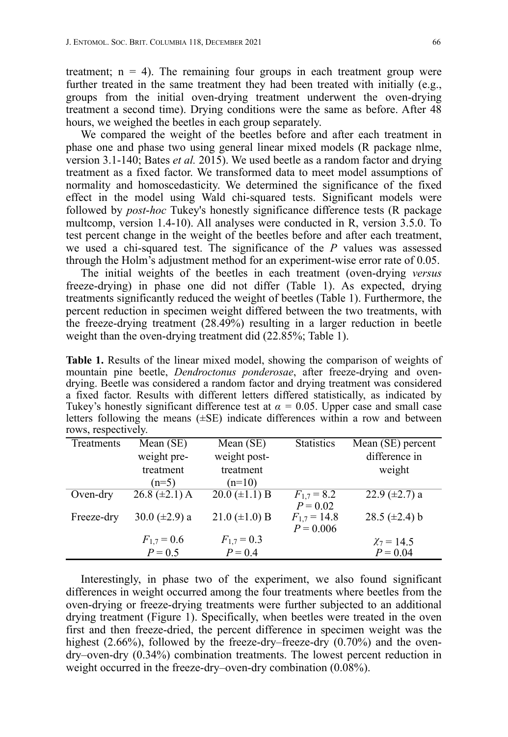treatment;  $n = 4$ ). The remaining four groups in each treatment group were further treated in the same treatment they had been treated with initially (e.g., groups from the initial oven-drying treatment underwent the oven-drying treatment a second time). Drying conditions were the same as before. After 48 hours, we weighed the beetles in each group separately.

We compared the weight of the beetles before and after each treatment in phase one and phase two using general linear mixed models (R package nlme, version 3.1-140; Bates *et al.* 2015). We used beetle as a random factor and drying treatment as a fixed factor. We transformed data to meet model assumptions of normality and homoscedasticity. We determined the significance of the fixed effect in the model using Wald chi-squared tests. Significant models were followed by *post*-*hoc* Tukey's honestly significance difference tests (R package multcomp, version 1.4-10). All analyses were conducted in R, version 3.5.0. To test percent change in the weight of the beetles before and after each treatment, we used a chi-squared test. The significance of the *P* values was assessed through the Holm's adjustment method for an experiment-wise error rate of 0.05.

The initial weights of the beetles in each treatment (oven-drying *versus* freeze-drying) in phase one did not differ (Table 1). As expected, drying treatments significantly reduced the weight of beetles (Table 1). Furthermore, the percent reduction in specimen weight differed between the two treatments, with the freeze-drying treatment (28.49%) resulting in a larger reduction in beetle weight than the oven-drying treatment did (22.85%; Table 1).

**Table 1.** Results of the linear mixed model, showing the comparison of weights of mountain pine beetle, *Dendroctonus ponderosae*, after freeze-drying and ovendrying. Beetle was considered a random factor and drying treatment was considered a fixed factor. Results with different letters differed statistically, as indicated by Tukey's honestly significant difference test at  $\alpha = 0.05$ . Upper case and small case letters following the means (±SE) indicate differences within a row and between rows, respectively.

| Treatments | Mean (SE)          | Mean $(SE)$            | <b>Statistics</b> | Mean (SE) percent    |
|------------|--------------------|------------------------|-------------------|----------------------|
|            | weight pre-        | weight post-           |                   | difference in        |
|            | treatment          | treatment              |                   | weight               |
|            | $(n=5)$            | $(n=10)$               |                   |                      |
| Oven-dry   | $26.8 (\pm 2.1)$ A | $20.0 \ (\pm 1.1) \ B$ | $F_{1,7} = 8.2$   | $22.9 \ (\pm 2.7) a$ |
|            |                    |                        | $P = 0.02$        |                      |
| Freeze-dry | 30.0 $(\pm 2.9)$ a | 21.0 $(\pm 1.0)$ B     | $F_{1,7} = 14.8$  | 28.5 $(\pm 2.4)$ b   |
|            |                    |                        | $P = 0.006$       |                      |
|            | $F_{1,7} = 0.6$    | $F_{1,7} = 0.3$        |                   | $\chi_7 = 14.5$      |
|            | $P = 0.5$          | $P = 0.4$              |                   | $P = 0.04$           |

Interestingly, in phase two of the experiment, we also found significant differences in weight occurred among the four treatments where beetles from the oven-drying or freeze-drying treatments were further subjected to an additional drying treatment (Figure 1). Specifically, when beetles were treated in the oven first and then freeze-dried, the percent difference in specimen weight was the highest (2.66%), followed by the freeze-dry–freeze-dry (0.70%) and the ovendry–oven-dry (0.34%) combination treatments. The lowest percent reduction in weight occurred in the freeze-dry–oven-dry combination  $(0.08\%)$ .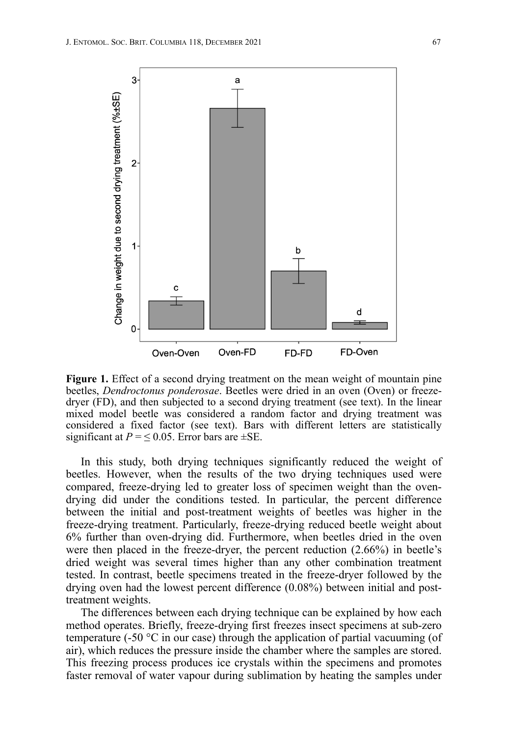

Figure 1. Effect of a second drying treatment on the mean weight of mountain pine beetles, *Dendroctonus ponderosae*. Beetles were dried in an oven (Oven) or freezedryer (FD), and then subjected to a second drying treatment (see text). In the linear mixed model beetle was considered a random factor and drying treatment was considered a fixed factor (see text). Bars with different letters are statistically significant at  $P = \leq 0.05$ . Error bars are  $\pm$ SE.

In this study, both drying techniques significantly reduced the weight of beetles. However, when the results of the two drying techniques used were compared, freeze-drying led to greater loss of specimen weight than the ovendrying did under the conditions tested. In particular, the percent difference between the initial and post-treatment weights of beetles was higher in the freeze-drying treatment. Particularly, freeze-drying reduced beetle weight about 6% further than oven-drying did. Furthermore, when beetles dried in the oven were then placed in the freeze-dryer, the percent reduction (2.66%) in beetle's dried weight was several times higher than any other combination treatment tested. In contrast, beetle specimens treated in the freeze-dryer followed by the drying oven had the lowest percent difference (0.08%) between initial and posttreatment weights.

The differences between each drying technique can be explained by how each method operates. Briefly, freeze-drying first freezes insect specimens at sub-zero temperature (-50  $\degree$ C in our case) through the application of partial vacuuming (of air), which reduces the pressure inside the chamber where the samples are stored. This freezing process produces ice crystals within the specimens and promotes faster removal of water vapour during sublimation by heating the samples under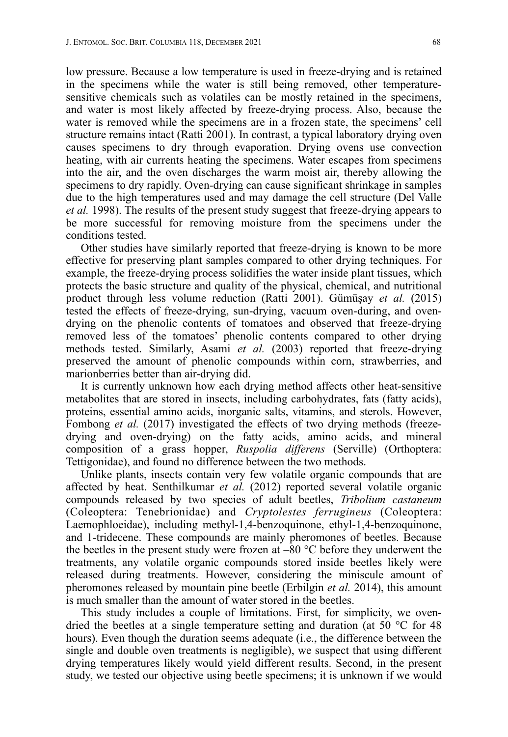low pressure. Because a low temperature is used in freeze-drying and is retained in the specimens while the water is still being removed, other temperaturesensitive chemicals such as volatiles can be mostly retained in the specimens, and water is most likely affected by freeze-drying process. Also, because the water is removed while the specimens are in a frozen state, the specimens' cell structure remains intact (Ratti 2001). In contrast, a typical laboratory drying oven causes specimens to dry through evaporation. Drying ovens use convection heating, with air currents heating the specimens. Water escapes from specimens into the air, and the oven discharges the warm moist air, thereby allowing the specimens to dry rapidly. Oven-drying can cause significant shrinkage in samples due to the high temperatures used and may damage the cell structure (Del Valle *et al.* 1998). The results of the present study suggest that freeze-drying appears to be more successful for removing moisture from the specimens under the conditions tested.

Other studies have similarly reported that freeze-drying is known to be more effective for preserving plant samples compared to other drying techniques. For example, the freeze-drying process solidifies the water inside plant tissues, which protects the basic structure and quality of the physical, chemical, and nutritional product through less volume reduction (Ratti 2001). Gümüşay *et al.* (2015) tested the effects of freeze-drying, sun-drying, vacuum oven-during, and ovendrying on the phenolic contents of tomatoes and observed that freeze-drying removed less of the tomatoes' phenolic contents compared to other drying methods tested. Similarly, Asami *et al.* (2003) reported that freeze-drying preserved the amount of phenolic compounds within corn, strawberries, and marionberries better than air-drying did.

It is currently unknown how each drying method affects other heat-sensitive metabolites that are stored in insects, including carbohydrates, fats (fatty acids), proteins, essential amino acids, inorganic salts, vitamins, and sterols. However, Fombong *et al.* (2017) investigated the effects of two drying methods (freezedrying and oven-drying) on the fatty acids, amino acids, and mineral composition of a grass hopper, *Ruspolia differens* (Serville) (Orthoptera: Tettigonidae), and found no difference between the two methods.

Unlike plants, insects contain very few volatile organic compounds that are affected by heat. Senthilkumar *et al.* (2012) reported several volatile organic compounds released by two species of adult beetles, *Tribolium castaneum* (Coleoptera: Tenebrionidae) and *Cryptolestes ferrugineus* (Coleoptera: Laemophloeidae), including methyl-1,4-benzoquinone, ethyl-1,4-benzoquinone, and 1-tridecene. These compounds are mainly pheromones of beetles. Because the beetles in the present study were frozen at  $-80$  °C before they underwent the treatments, any volatile organic compounds stored inside beetles likely were released during treatments. However, considering the miniscule amount of pheromones released by mountain pine beetle (Erbilgin *et al.* 2014), this amount is much smaller than the amount of water stored in the beetles.

This study includes a couple of limitations. First, for simplicity, we ovendried the beetles at a single temperature setting and duration (at 50 °C for 48 hours). Even though the duration seems adequate (i.e., the difference between the single and double oven treatments is negligible), we suspect that using different drying temperatures likely would yield different results. Second, in the present study, we tested our objective using beetle specimens; it is unknown if we would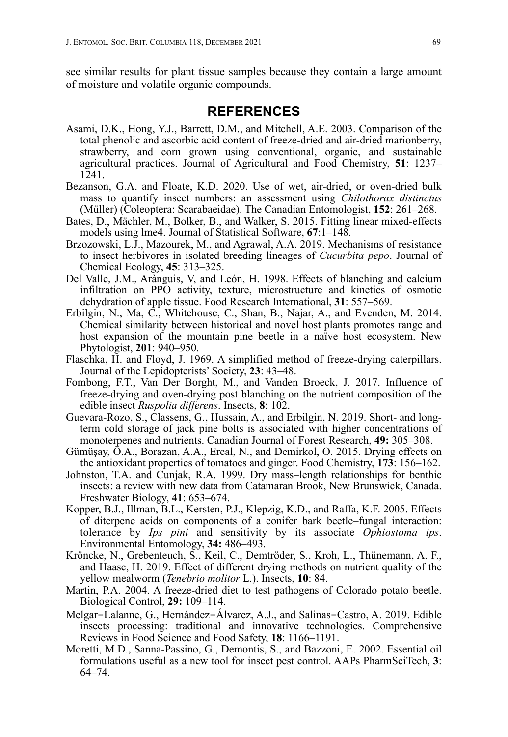see similar results for plant tissue samples because they contain a large amount of moisture and volatile organic compounds.

## **REFERENCES**

- Asami, D.K., Hong, Y.J., Barrett, D.M., and Mitchell, A.E. 2003. Comparison of the total phenolic and ascorbic acid content of freeze-dried and air-dried marionberry, strawberry, and corn grown using conventional, organic, and sustainable agricultural practices. Journal of Agricultural and Food Chemistry, **51**: 1237– 1241.
- Bezanson, G.A. and Floate, K.D. 2020. Use of wet, air-dried, or oven-dried bulk mass to quantify insect numbers: an assessment using *Chilothorax distinctus* (Müller) (Coleoptera: Scarabaeidae). The Canadian Entomologist, **152**: 261–268.
- Bates, D., Mächler, M., Bolker, B., and Walker, S. 2015. Fitting linear mixed-effects models using lme4. Journal of Statistical Software, **67**:1–148.
- Brzozowski, L.J., Mazourek, M., and Agrawal, A.A. 2019. Mechanisms of resistance to insect herbivores in isolated breeding lineages of *Cucurbita pepo*. Journal of Chemical Ecology, **45**: 313–325.
- Del Valle, J.M., Arànguis, V, and León, H. 1998. Effects of blanching and calcium infiltration on PPO activity, texture, microstructure and kinetics of osmotic dehydration of apple tissue. Food Research International, **31**: 557–569.
- Erbilgin, N., Ma, C., Whitehouse, C., Shan, B., Najar, A., and Evenden, M. 2014. Chemical similarity between historical and novel host plants promotes range and host expansion of the mountain pine beetle in a naïve host ecosystem. New Phytologist, **201**: 940–950.
- Flaschka, H. and Floyd, J. 1969. A simplified method of freeze-drying caterpillars. Journal of the Lepidopterists' Society, **23**: 43–48.
- Fombong, F.T., Van Der Borght, M., and Vanden Broeck, J. 2017. Influence of freeze-drying and oven-drying post blanching on the nutrient composition of the edible insect *Ruspolia differens*. Insects, **8**: 102.
- Guevara-Rozo, S., Classens, G., Hussain, A., and Erbilgin, N. 2019. Short- and longterm cold storage of jack pine bolts is associated with higher concentrations of monoterpenes and nutrients. Canadian Journal of Forest Research, **49:** 305–308.
- Gümüşay, Ö.A., Borazan, A.A., Ercal, N., and Demirkol, O. 2015. Drying effects on the antioxidant properties of tomatoes and ginger. Food Chemistry, **173**: 156–162.
- Johnston, T.A. and Cunjak, R.A. 1999. Dry mass–length relationships for benthic insects: a review with new data from Catamaran Brook, New Brunswick, Canada. Freshwater Biology, **41**: 653–674.
- Kopper, B.J., Illman, B.L., Kersten, P.J., Klepzig, K.D., and Raffa, K.F. 2005. Effects of diterpene acids on components of a conifer bark beetle–fungal interaction: tolerance by *Ips pini* and sensitivity by its associate *Ophiostoma ips*. Environmental Entomology, **34:** 486–493.
- Kröncke, N., Grebenteuch, S., Keil, C., Demtröder, S., Kroh, L., Thünemann, A. F., and Haase, H. 2019. Effect of different drying methods on nutrient quality of the yellow mealworm (*Tenebrio molitor* L.). Insects, **10**: 84.
- Martin, P.A. 2004. A freeze-dried diet to test pathogens of Colorado potato beetle. Biological Control, **29:** 109–114.
- Melgar-Lalanne, G., Hernández-Álvarez, A.J., and Salinas-Castro, A. 2019. Edible insects processing: traditional and innovative technologies. Comprehensive Reviews in Food Science and Food Safety, **18**: 1166–1191.
- Moretti, M.D., Sanna-Passino, G., Demontis, S., and Bazzoni, E. 2002. Essential oil formulations useful as a new tool for insect pest control. AAPs PharmSciTech, **3**: 64–74.